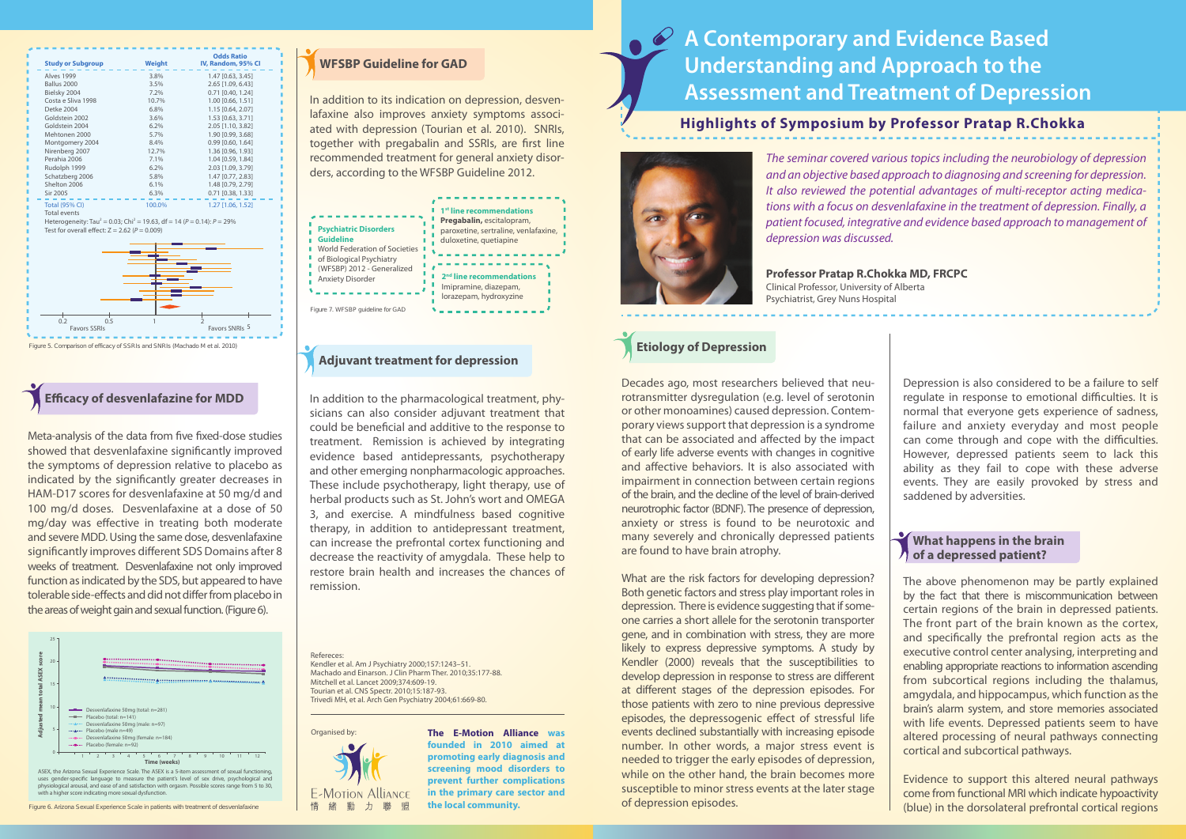# **A Contemporary and Evidence Based Understanding and Approach to the Assessment and Treatment of Depression**

*The seminar covered various topics including the neurobiology of depression and an objective based approach to diagnosing and screening for depression. It also reviewed the potential advantages of multi-receptor acting medications with a focus on desvenlafaxine in the treatment of depression. Finally, a patient focused, integrative and evidence based approach to management of depression was discussed.*

**Professor Pratap R.Chokka MD, FRCPC** Clinical Professor, University of Alberta Psychiatrist, Grey Nuns Hospital

Decades ago, most researchers believed that neurotransmitter dysregulation (e.g. level of serotonin or other monoamines) caused depression. Contemporary views support that depression is a syndrome that can be associated and affected by the impact of early life adverse events with changes in cognitive and affective behaviors. It is also associated with impairment in connection between certain regions of the brain, and the decline of the level of brain-derived neurotrophic factor (BDNF). The presence of depression, anxiety or stress is found to be neurotoxic and many severely and chronically depressed patients are found to have brain atrophy.

What are the risk factors for developing depression? Both genetic factors and stress play important roles in depression. There is evidence suggesting that if someone carries a short allele for the serotonin transporter gene, and in combination with stress, they are more likely to express depressive symptoms. A study by Kendler (2000) reveals that the susceptibilities to develop depression in response to stress are different at different stages of the depression episodes. For those patients with zero to nine previous depressive episodes, the depressogenic effect of stressful life events declined substantially with increasing episode number. In other words, a major stress event is needed to trigger the early episodes of depression, while on the other hand, the brain becomes more susceptible to minor stress events at the later stage of depression episodes.

Depression is also considered to be a failure to self regulate in response to emotional difficulties. It is normal that everyone gets experience of sadness, failure and anxiety everyday and most people can come through and cope with the difficulties. However, depressed patients seem to lack this ability as they fail to cope with these adverse events. They are easily provoked by stress and saddened by adversities.



The above phenomenon may be partly explained by the fact that there is miscommunication between certain regions of the brain in depressed patients. The front part of the brain known as the cortex, and specifically the prefrontal region acts as the executive control center analysing, interpreting and enabling appropriate reactions to information ascending from subcortical regions including the thalamus, amgydala, and hippocampus, which function as the brain's alarm system, and store memories associated with life events. Depressed patients seem to have altered processing of neural pathways connecting cortical and subcortical pathways.

Meta-analysis of the data from five fixed-dose studies showed that desvenlafaxine significantly improved the symptoms of depression relative to placebo as indicated by the significantly greater decreases in HAM-D17 scores for desvenlafaxine at 50 mg/d and 100 mg/d doses. Desvenlafaxine at a dose of 50 mg/day was effective in treating both moderate and severe MDD. Using the same dose, desvenlafaxine significantly improves different SDS Domains after 8 weeks of treatment. Desvenlafaxine not only improved function as indicated by the SDS, but appeared to have tolerable side-effects and did not differ from placebo in the areas of weight gain and sexual function. (Figure 6).

> Evidence to support this altered neural pathways come from functional MRI which indicate hypoactivity (blue) in the dorsolateral prefrontal cortical regions

# **Etiology of Depression**

#### **What happens in the brain of a depressed patient?**



Refereces:

Kendler et al. Am J Psychiatry 2000;157:1243–51. Machado and Einarson. J Clin Pharm Ther. 2010;35:177-88. Mitchell et al. Lancet 2009;374:609-19. Tourian et al. CNS Spectr. 2010;15:187-93. Trivedi MH, et al. Arch Gen Psychiatry 2004;61:669-80.

### **Adjuvant treatment for depression**

### **WFSBP Guideline for GAD**

In addition to its indication on depression, desvenlafaxine also improves anxiety symptoms associated with depression (Tourian et al. 2010). SNRIs, together with pregabalin and SSRIs, are first line recommended treatment for general anxiety disorders, according to the WFSBP Guideline 2012.

In addition to the pharmacological treatment, physicians can also consider adjuvant treatment that could be beneficial and additive to the response to treatment. Remission is achieved by integrating evidence based antidepressants, psychotherapy and other emerging nonpharmacologic approaches. These include psychotherapy, light therapy, use of herbal products such as St. John's wort and OMEGA 3, and exercise. A mindfulness based cognitive therapy, in addition to antidepressant treatment, can increase the prefrontal cortex functioning and decrease the reactivity of amygdala. These help to restore brain health and increases the chances of remission.



## **Efficacy of desvenlafazine for MDD**



Figure 6. Arizona Sexual Experience Scale in patients with treatment of desvenlafaxine



**The E-Motion Alliance was founded in 2010 aimed at promoting early diagnosis and screening mood disorders to prevent further complications in the primary care sector and the local community.** 

## **Highlights of Symposium by Professor Pratap R.Chokka**